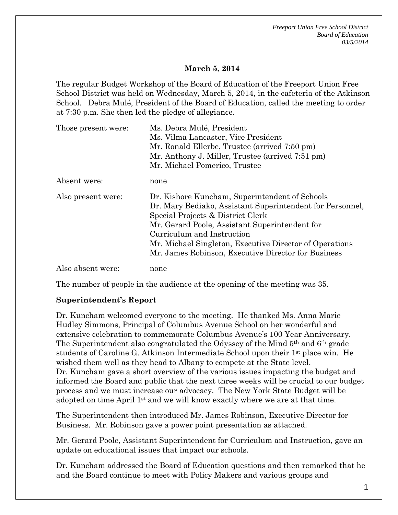*Freeport Union Free School District Board of Education 03/5/2014*

## **March 5, 2014**

The regular Budget Workshop of the Board of Education of the Freeport Union Free School District was held on Wednesday, March 5, 2014, in the cafeteria of the Atkinson School. Debra Mulé, President of the Board of Education, called the meeting to order at 7:30 p.m. She then led the pledge of allegiance.

| Those present were: | Ms. Debra Mulé, President                                 |
|---------------------|-----------------------------------------------------------|
|                     | Ms. Vilma Lancaster, Vice President                       |
|                     | Mr. Ronald Ellerbe, Trustee (arrived 7:50 pm)             |
|                     | Mr. Anthony J. Miller, Trustee (arrived 7:51 pm)          |
|                     | Mr. Michael Pomerico, Trustee                             |
| Absent were:        | none                                                      |
| Also present were:  | Dr. Kishore Kuncham, Superintendent of Schools            |
|                     | Dr. Mary Bediako, Assistant Superintendent for Personnel, |
|                     | Special Projects & District Clerk                         |
|                     | Mr. Gerard Poole, Assistant Superintendent for            |
|                     | Curriculum and Instruction                                |
|                     | Mr. Michael Singleton, Executive Director of Operations   |
|                     | Mr. James Robinson, Executive Director for Business       |
| Also absent were:   | none                                                      |

The number of people in the audience at the opening of the meeting was 35.

## **Superintendent's Report**

Dr. Kuncham welcomed everyone to the meeting. He thanked Ms. Anna Marie Hudley Simmons, Principal of Columbus Avenue School on her wonderful and extensive celebration to commemorate Columbus Avenue's 100 Year Anniversary. The Superintendent also congratulated the Odyssey of the Mind 5th and 6th grade students of Caroline G. Atkinson Intermediate School upon their 1st place win. He wished them well as they head to Albany to compete at the State level. Dr. Kuncham gave a short overview of the various issues impacting the budget and informed the Board and public that the next three weeks will be crucial to our budget process and we must increase our advocacy. The New York State Budget will be adopted on time April 1st and we will know exactly where we are at that time.

The Superintendent then introduced Mr. James Robinson, Executive Director for Business. Mr. Robinson gave a power point presentation as attached.

Mr. Gerard Poole, Assistant Superintendent for Curriculum and Instruction, gave an update on educational issues that impact our schools.

Dr. Kuncham addressed the Board of Education questions and then remarked that he and the Board continue to meet with Policy Makers and various groups and